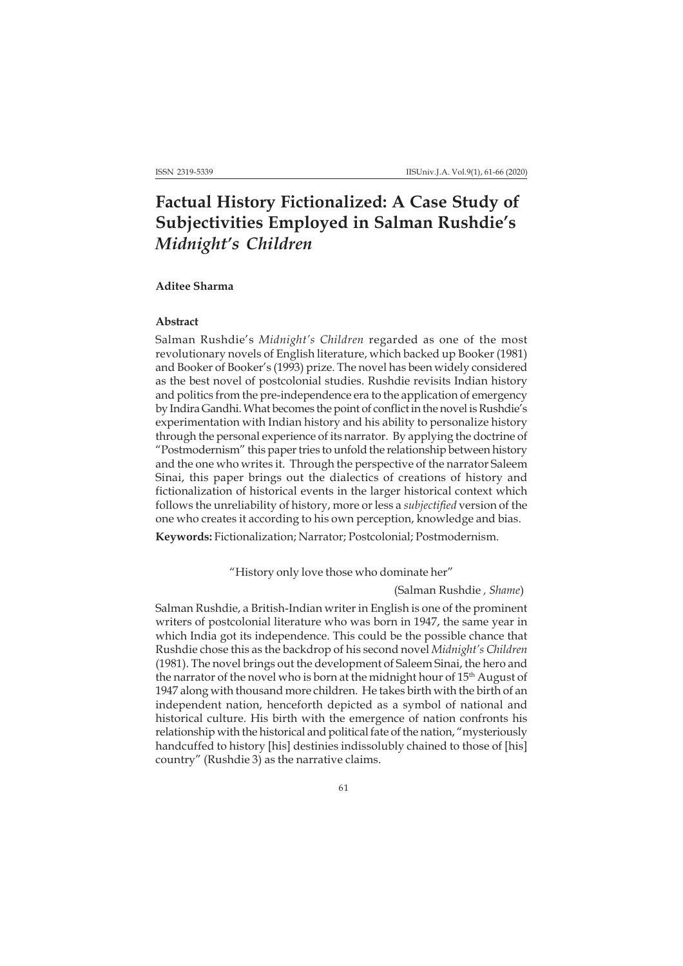# **Factual History Fictionalized: A Case Study of Subjectivities Employed in Salman Rushdie's** *Midnight's Children*

#### **Aditee Sharma**

### **Abstract**

Salman Rushdie's *Midnight's Children* regarded as one of the most revolutionary novels of English literature, which backed up Booker (1981) and Booker of Booker's (1993) prize. The novel has been widely considered as the best novel of postcolonial studies. Rushdie revisits Indian history and politics from the pre-independence era to the application of emergency by Indira Gandhi. What becomes the point of conflict in the novel is Rushdie's experimentation with Indian history and his ability to personalize history through the personal experience of its narrator. By applying the doctrine of "Postmodernism" this paper tries to unfold the relationship between history and the one who writes it. Through the perspective of the narrator Saleem Sinai, this paper brings out the dialectics of creations of history and fictionalization of historical events in the larger historical context which follows the unreliability of history, more or less a *subjectified* version of the one who creates it according to his own perception, knowledge and bias.

**Keywords:** Fictionalization; Narrator; Postcolonial; Postmodernism.

"History only love those who dominate her"

(Salman Rushdie *, Shame*)

Salman Rushdie, a British-Indian writer in English is one of the prominent writers of postcolonial literature who was born in 1947, the same year in which India got its independence. This could be the possible chance that Rushdie chose this as the backdrop of his second novel *Midnight's Children* (1981). The novel brings out the development of Saleem Sinai, the hero and the narrator of the novel who is born at the midnight hour of 15<sup>th</sup> August of 1947 along with thousand more children. He takes birth with the birth of an independent nation, henceforth depicted as a symbol of national and historical culture. His birth with the emergence of nation confronts his relationship with the historical and political fate of the nation, "mysteriously handcuffed to history [his] destinies indissolubly chained to those of [his] country" (Rushdie 3) as the narrative claims.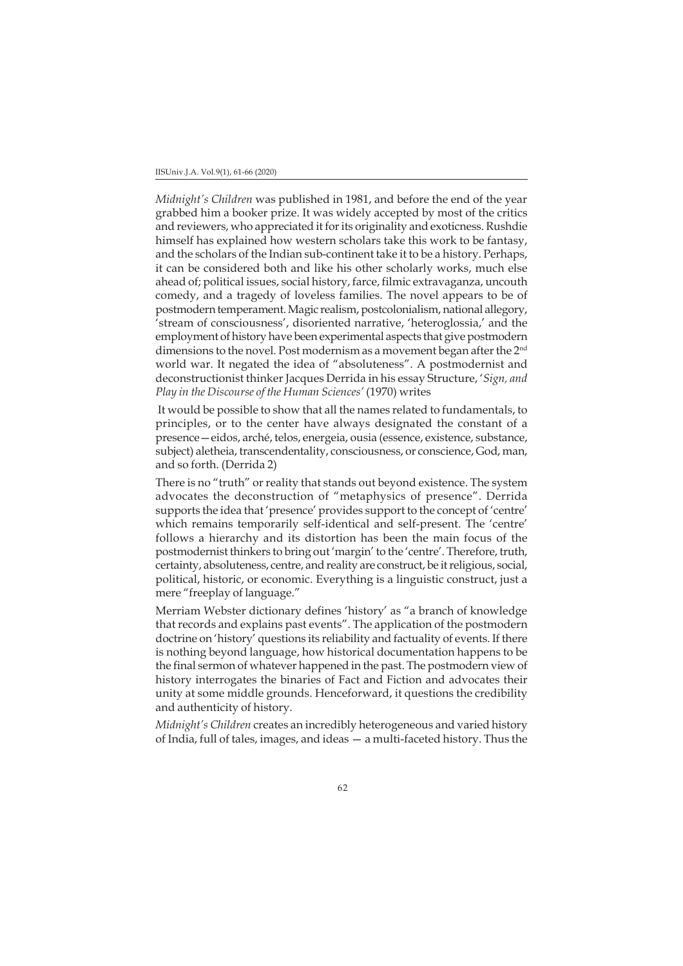#### IISUniv.J.A. Vol.9(1), 61-66 (2020)

*Midnight's Children* was published in 1981, and before the end of the year grabbed him a booker prize. It was widely accepted by most of the critics and reviewers, who appreciated it for its originality and exoticness. Rushdie himself has explained how western scholars take this work to be fantasy, and the scholars of the Indian sub-continent take it to be a history. Perhaps, it can be considered both and like his other scholarly works, much else ahead of; political issues, social history, farce, filmic extravaganza, uncouth comedy, and a tragedy of loveless families. The novel appears to be of postmodern temperament. Magic realism, postcolonialism, national allegory, 'stream of consciousness', disoriented narrative, 'heteroglossia,' and the employment of history have been experimental aspects that give postmodern dimensions to the novel. Post modernism as a movement began after the 2<sup>nd</sup> world war. It negated the idea of "absoluteness". A postmodernist and deconstructionist thinker Jacques Derrida in his essay Structure, '*Sign, and Play in the Discourse of the Human Sciences'* (1970) writes

 It would be possible to show that all the names related to fundamentals, to principles, or to the center have always designated the constant of a presence—eidos, arché, telos, energeia, ousia (essence, existence, substance, subject) aletheia, transcendentality, consciousness, or conscience, God, man, and so forth. (Derrida 2)

There is no "truth" or reality that stands out beyond existence. The system advocates the deconstruction of "metaphysics of presence". Derrida supports the idea that 'presence' provides support to the concept of 'centre' which remains temporarily self-identical and self-present. The 'centre' follows a hierarchy and its distortion has been the main focus of the postmodernist thinkers to bring out 'margin' to the 'centre'. Therefore, truth, certainty, absoluteness, centre, and reality are construct, be it religious, social, political, historic, or economic. Everything is a linguistic construct, just a mere "freeplay of language."

Merriam Webster dictionary defines 'history' as "a branch of knowledge that records and explains past events". The application of the postmodern doctrine on 'history' questions its reliability and factuality of events. If there is nothing beyond language, how historical documentation happens to be the final sermon of whatever happened in the past. The postmodern view of history interrogates the binaries of Fact and Fiction and advocates their unity at some middle grounds. Henceforward, it questions the credibility and authenticity of history.

*Midnight's Children* creates an incredibly heterogeneous and varied history of India, full of tales, images, and ideas — a multi-faceted history. Thus the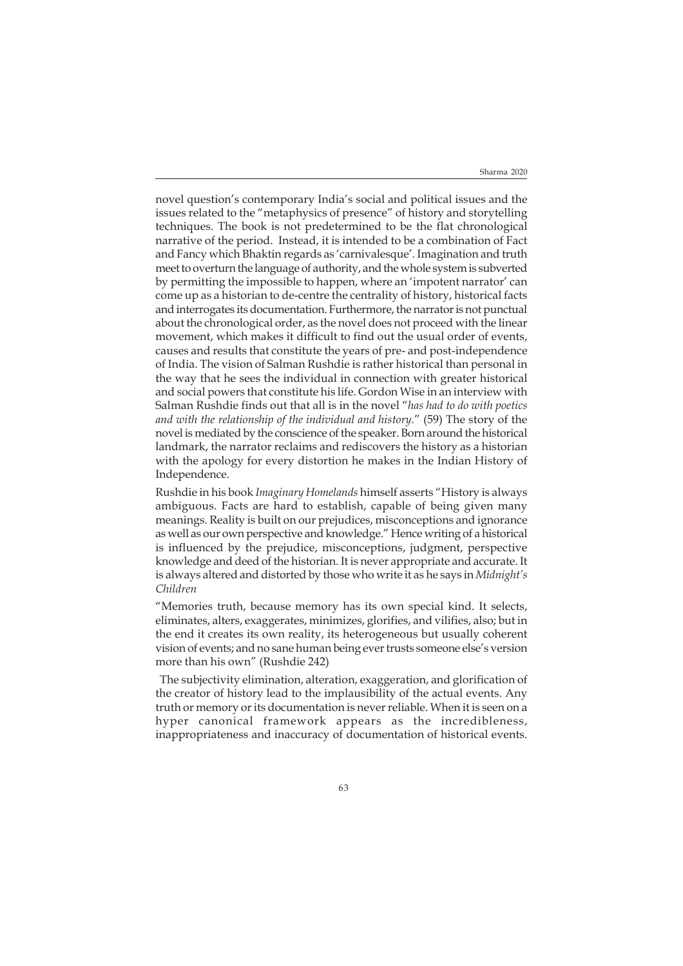novel question's contemporary India's social and political issues and the issues related to the "metaphysics of presence" of history and storytelling techniques. The book is not predetermined to be the flat chronological narrative of the period. Instead, it is intended to be a combination of Fact and Fancy which Bhaktin regards as 'carnivalesque'. Imagination and truth meet to overturn the language of authority, and the whole system is subverted by permitting the impossible to happen, where an 'impotent narrator' can come up as a historian to de-centre the centrality of history, historical facts and interrogates its documentation. Furthermore, the narrator is not punctual about the chronological order, as the novel does not proceed with the linear movement, which makes it difficult to find out the usual order of events, causes and results that constitute the years of pre- and post-independence of India. The vision of Salman Rushdie is rather historical than personal in the way that he sees the individual in connection with greater historical and social powers that constitute his life. Gordon Wise in an interview with Salman Rushdie finds out that all is in the novel "*has had to do with poetics and with the relationship of the individual and history*." (59) The story of the novel is mediated by the conscience of the speaker. Born around the historical landmark, the narrator reclaims and rediscovers the history as a historian with the apology for every distortion he makes in the Indian History of Independence.

Rushdie in his book *Imaginary Homelands* himself asserts "History is always ambiguous. Facts are hard to establish, capable of being given many meanings. Reality is built on our prejudices, misconceptions and ignorance as well as our own perspective and knowledge." Hence writing of a historical is influenced by the prejudice, misconceptions, judgment, perspective knowledge and deed of the historian. It is never appropriate and accurate. It is always altered and distorted by those who write it as he says in *Midnight's Children*

"Memories truth, because memory has its own special kind. It selects, eliminates, alters, exaggerates, minimizes, glorifies, and vilifies, also; but in the end it creates its own reality, its heterogeneous but usually coherent vision of events; and no sane human being ever trusts someone else's version more than his own" (Rushdie 242)

 The subjectivity elimination, alteration, exaggeration, and glorification of the creator of history lead to the implausibility of the actual events. Any truth or memory or its documentation is never reliable. When it is seen on a hyper canonical framework appears as the incredibleness, inappropriateness and inaccuracy of documentation of historical events.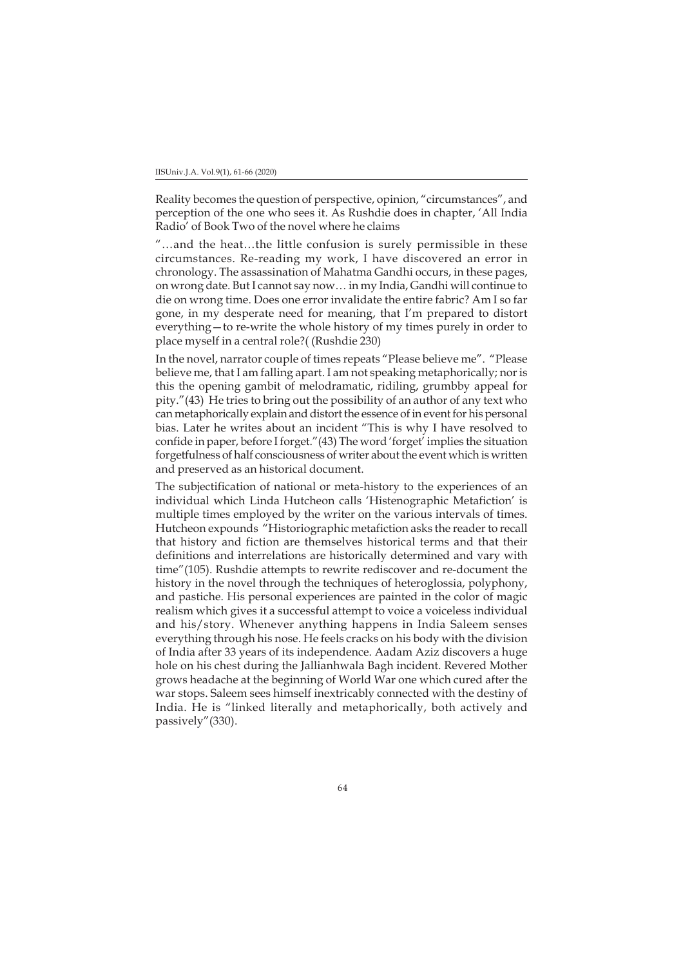Reality becomes the question of perspective, opinion, "circumstances", and perception of the one who sees it. As Rushdie does in chapter, 'All India Radio' of Book Two of the novel where he claims

"…and the heat…the little confusion is surely permissible in these circumstances. Re-reading my work, I have discovered an error in chronology. The assassination of Mahatma Gandhi occurs, in these pages, on wrong date. But I cannot say now… in my India, Gandhi will continue to die on wrong time. Does one error invalidate the entire fabric? Am I so far gone, in my desperate need for meaning, that I'm prepared to distort everything—to re-write the whole history of my times purely in order to place myself in a central role?( (Rushdie 230)

In the novel, narrator couple of times repeats "Please believe me". "Please believe me, that I am falling apart. I am not speaking metaphorically; nor is this the opening gambit of melodramatic, ridiling, grumbby appeal for pity."(43) He tries to bring out the possibility of an author of any text who can metaphorically explain and distort the essence of in event for his personal bias. Later he writes about an incident "This is why I have resolved to confide in paper, before I forget."(43) The word 'forget' implies the situation forgetfulness of half consciousness of writer about the event which is written and preserved as an historical document.

The subjectification of national or meta-history to the experiences of an individual which Linda Hutcheon calls 'Histenographic Metafiction' is multiple times employed by the writer on the various intervals of times. Hutcheon expounds "Historiographic metafiction asks the reader to recall that history and fiction are themselves historical terms and that their definitions and interrelations are historically determined and vary with time"(105). Rushdie attempts to rewrite rediscover and re-document the history in the novel through the techniques of heteroglossia, polyphony, and pastiche. His personal experiences are painted in the color of magic realism which gives it a successful attempt to voice a voiceless individual and his/story. Whenever anything happens in India Saleem senses everything through his nose. He feels cracks on his body with the division of India after 33 years of its independence. Aadam Aziz discovers a huge hole on his chest during the Jallianhwala Bagh incident. Revered Mother grows headache at the beginning of World War one which cured after the war stops. Saleem sees himself inextricably connected with the destiny of India. He is "linked literally and metaphorically, both actively and passively"(330).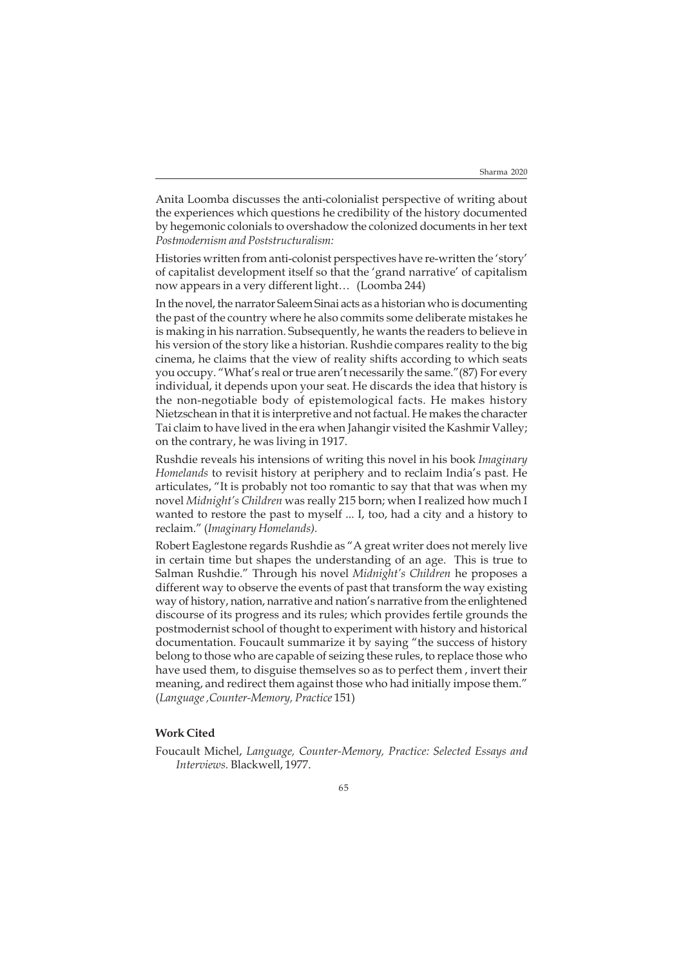Anita Loomba discusses the anti-colonialist perspective of writing about the experiences which questions he credibility of the history documented by hegemonic colonials to overshadow the colonized documents in her text *Postmodernism and Poststructuralism:*

Histories written from anti-colonist perspectives have re-written the 'story' of capitalist development itself so that the 'grand narrative' of capitalism now appears in a very different light… (Loomba 244)

In the novel, the narrator Saleem Sinai acts as a historian who is documenting the past of the country where he also commits some deliberate mistakes he is making in his narration. Subsequently, he wants the readers to believe in his version of the story like a historian. Rushdie compares reality to the big cinema, he claims that the view of reality shifts according to which seats you occupy. "What's real or true aren't necessarily the same."(87) For every individual, it depends upon your seat. He discards the idea that history is the non-negotiable body of epistemological facts. He makes history Nietzschean in that it is interpretive and not factual. He makes the character Tai claim to have lived in the era when Jahangir visited the Kashmir Valley; on the contrary, he was living in 1917.

Rushdie reveals his intensions of writing this novel in his book *Imaginary Homelands* to revisit history at periphery and to reclaim India's past. He articulates, "It is probably not too romantic to say that that was when my novel *Midnight's Children* was really 215 born; when I realized how much I wanted to restore the past to myself ... I, too, had a city and a history to reclaim." (*Imaginary Homelands).*

Robert Eaglestone regards Rushdie as "A great writer does not merely live in certain time but shapes the understanding of an age. This is true to Salman Rushdie." Through his novel *Midnight's Children* he proposes a different way to observe the events of past that transform the way existing way of history, nation, narrative and nation's narrative from the enlightened discourse of its progress and its rules; which provides fertile grounds the postmodernist school of thought to experiment with history and historical documentation. Foucault summarize it by saying "the success of history belong to those who are capable of seizing these rules, to replace those who have used them, to disguise themselves so as to perfect them , invert their meaning, and redirect them against those who had initially impose them." (*Language ,Counter-Memory, Practice* 151)

## **Work Cited**

Foucault Michel, *Language, Counter-Memory, Practice: Selected Essays and Interviews.* Blackwell, 1977.